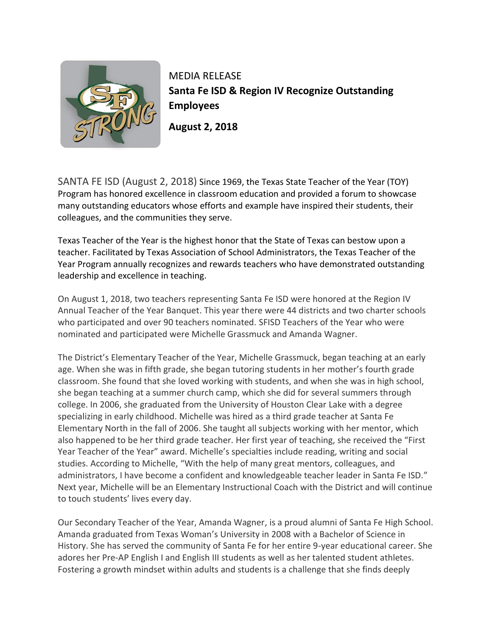

MEDIA RELEASE **Santa Fe ISD & Region IV Recognize Outstanding Employees**

**August 2, 2018**

SANTA FE ISD (August 2, 2018) Since 1969, the Texas State Teacher of the Year (TOY) Program has honored excellence in classroom education and provided a forum to showcase many outstanding educators whose efforts and example have inspired their students, their colleagues, and the communities they serve.

Texas Teacher of the Year is the highest honor that the State of Texas can bestow upon a teacher. Facilitated by Texas Association of School Administrators, the Texas Teacher of the Year Program annually recognizes and rewards teachers who have demonstrated outstanding leadership and excellence in teaching.

On August 1, 2018, two teachers representing Santa Fe ISD were honored at the Region IV Annual Teacher of the Year Banquet. This year there were 44 districts and two charter schools who participated and over 90 teachers nominated. SFISD Teachers of the Year who were nominated and participated were Michelle Grassmuck and Amanda Wagner.

The District's Elementary Teacher of the Year, Michelle Grassmuck, began teaching at an early age. When she was in fifth grade, she began tutoring students in her mother's fourth grade classroom. She found that she loved working with students, and when she was in high school, she began teaching at a summer church camp, which she did for several summers through college. In 2006, she graduated from the University of Houston Clear Lake with a degree specializing in early childhood. Michelle was hired as a third grade teacher at Santa Fe Elementary North in the fall of 2006. She taught all subjects working with her mentor, which also happened to be her third grade teacher. Her first year of teaching, she received the "First Year Teacher of the Year" award. Michelle's specialties include reading, writing and social studies. According to Michelle, "With the help of many great mentors, colleagues, and administrators, I have become a confident and knowledgeable teacher leader in Santa Fe ISD." Next year, Michelle will be an Elementary Instructional Coach with the District and will continue to touch students' lives every day.

Our Secondary Teacher of the Year, Amanda Wagner, is a proud alumni of Santa Fe High School. Amanda graduated from Texas Woman's University in 2008 with a Bachelor of Science in History. She has served the community of Santa Fe for her entire 9-year educational career. She adores her Pre-AP English I and English III students as well as her talented student athletes. Fostering a growth mindset within adults and students is a challenge that she finds deeply